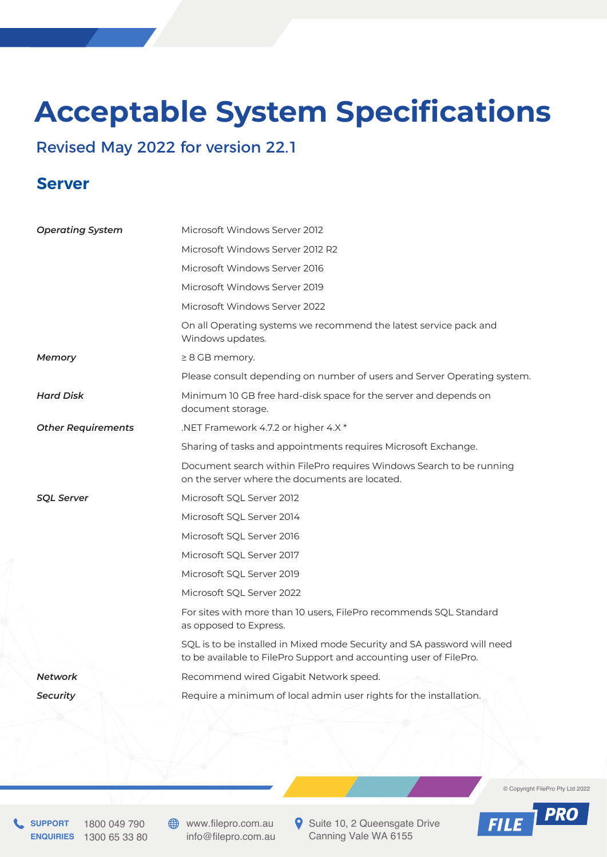## **Acceptable System Specifications**

## Revised May 2022 for version 22.1

## **Server**

| <b>Operating System</b>   | Microsoft Windows Server 2012                                                                                                                 |
|---------------------------|-----------------------------------------------------------------------------------------------------------------------------------------------|
|                           | Microsoft Windows Server 2012 R2                                                                                                              |
|                           | Microsoft Windows Server 2016                                                                                                                 |
|                           | Microsoft Windows Server 2019                                                                                                                 |
|                           | Microsoft Windows Server 2022                                                                                                                 |
|                           | On all Operating systems we recommend the latest service pack and<br>Windows updates.                                                         |
| <b>Memory</b>             | $\geq 8$ GB memory.                                                                                                                           |
|                           | Please consult depending on number of users and Server Operating system.                                                                      |
| <b>Hard Disk</b>          | Minimum 10 GB free hard-disk space for the server and depends on<br>document storage.                                                         |
| <b>Other Requirements</b> | .NET Framework 4.7.2 or higher 4.X*                                                                                                           |
|                           | Sharing of tasks and appointments requires Microsoft Exchange.                                                                                |
|                           | Document search within FilePro requires Windows Search to be running<br>on the server where the documents are located.                        |
| <b>SOL Server</b>         | Microsoft SQL Server 2012                                                                                                                     |
|                           | Microsoft SQL Server 2014                                                                                                                     |
|                           | Microsoft SQL Server 2016                                                                                                                     |
|                           | Microsoft SQL Server 2017                                                                                                                     |
|                           | Microsoft SQL Server 2019                                                                                                                     |
|                           | Microsoft SQL Server 2022                                                                                                                     |
|                           | For sites with more than 10 users, FilePro recommends SQL Standard<br>as opposed to Express.                                                  |
|                           | SQL is to be installed in Mixed mode Security and SA password will need<br>to be available to FilePro Support and accounting user of FilePro. |
| Network                   | Recommend wired Gigabit Network speed.                                                                                                        |
| <b>Security</b>           | Require a minimum of local admin user rights for the installation.                                                                            |
|                           |                                                                                                                                               |

© Copyright FilePro Pty Ltd 2022

**PRO** 

**FILE** 

**SUPPORT** 1800 049 790 **ENQUIRIES** 1300 65 33 80 **WWW.filepro.com.au** info@filepro.com.au Suite 10, 2 Queensgate Drive Canning Vale WA 6155